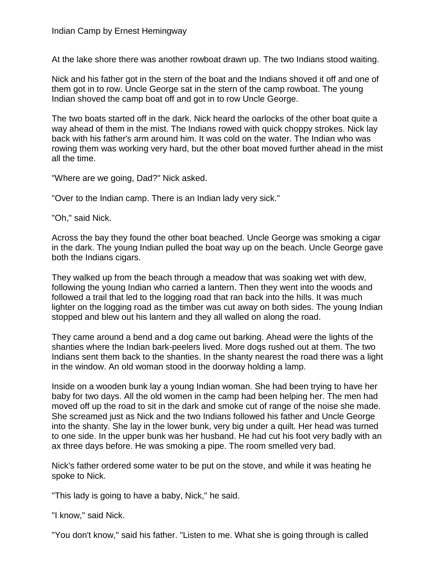At the lake shore there was another rowboat drawn up. The two Indians stood waiting.

Nick and his father got in the stern of the boat and the Indians shoved it off and one of them got in to row. Uncle George sat in the stern of the camp rowboat. The young Indian shoved the camp boat off and got in to row Uncle George.

The two boats started off in the dark. Nick heard the oarlocks of the other boat quite a way ahead of them in the mist. The Indians rowed with quick choppy strokes. Nick lay back with his father's arm around him. It was cold on the water. The Indian who was rowing them was working very hard, but the other boat moved further ahead in the mist all the time.

"Where are we going, Dad?" Nick asked.

"Over to the Indian camp. There is an Indian lady very sick."

"Oh," said Nick.

Across the bay they found the other boat beached. Uncle George was smoking a cigar in the dark. The young Indian pulled the boat way up on the beach. Uncle George gave both the Indians cigars.

They walked up from the beach through a meadow that was soaking wet with dew, following the young Indian who carried a lantern. Then they went into the woods and followed a trail that led to the logging road that ran back into the hills. It was much lighter on the logging road as the timber was cut away on both sides. The young Indian stopped and blew out his lantern and they all walled on along the road.

They came around a bend and a dog came out barking. Ahead were the lights of the shanties where the Indian bark-peelers lived. More dogs rushed out at them. The two Indians sent them back to the shanties. In the shanty nearest the road there was a light in the window. An old woman stood in the doorway holding a lamp.

Inside on a wooden bunk lay a young Indian woman. She had been trying to have her baby for two days. All the old women in the camp had been helping her. The men had moved off up the road to sit in the dark and smoke cut of range of the noise she made. She screamed just as Nick and the two Indians followed his father and Uncle George into the shanty. She lay in the lower bunk, very big under a quilt. Her head was turned to one side. In the upper bunk was her husband. He had cut his foot very badly with an ax three days before. He was smoking a pipe. The room smelled very bad.

Nick's father ordered some water to be put on the stove, and while it was heating he spoke to Nick.

"This lady is going to have a baby, Nick," he said.

"I know," said Nick.

"You don't know," said his father. "Listen to me. What she is going through is called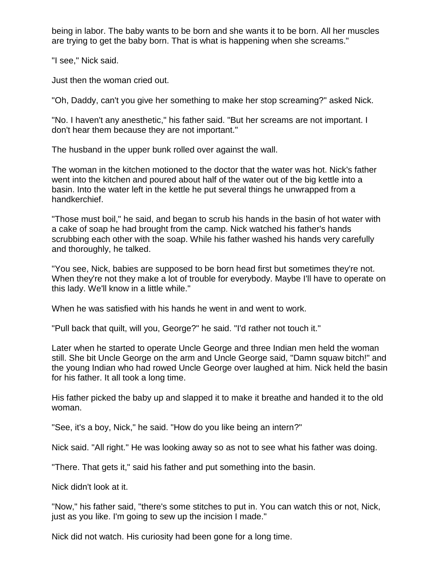being in labor. The baby wants to be born and she wants it to be born. All her muscles are trying to get the baby born. That is what is happening when she screams."

"I see," Nick said.

Just then the woman cried out.

"Oh, Daddy, can't you give her something to make her stop screaming?" asked Nick.

"No. I haven't any anesthetic," his father said. "But her screams are not important. I don't hear them because they are not important."

The husband in the upper bunk rolled over against the wall.

The woman in the kitchen motioned to the doctor that the water was hot. Nick's father went into the kitchen and poured about half of the water out of the big kettle into a basin. Into the water left in the kettle he put several things he unwrapped from a handkerchief.

"Those must boil," he said, and began to scrub his hands in the basin of hot water with a cake of soap he had brought from the camp. Nick watched his father's hands scrubbing each other with the soap. While his father washed his hands very carefully and thoroughly, he talked.

"You see, Nick, babies are supposed to be born head first but sometimes they're not. When they're not they make a lot of trouble for everybody. Maybe I'll have to operate on this lady. We'll know in a little while."

When he was satisfied with his hands he went in and went to work.

"Pull back that quilt, will you, George?" he said. "I'd rather not touch it."

Later when he started to operate Uncle George and three Indian men held the woman still. She bit Uncle George on the arm and Uncle George said, "Damn squaw bitch!" and the young Indian who had rowed Uncle George over laughed at him. Nick held the basin for his father. It all took a long time.

His father picked the baby up and slapped it to make it breathe and handed it to the old woman.

"See, it's a boy, Nick," he said. "How do you like being an intern?"

Nick said. "All right." He was looking away so as not to see what his father was doing.

"There. That gets it," said his father and put something into the basin.

Nick didn't look at it.

"Now," his father said, "there's some stitches to put in. You can watch this or not, Nick, just as you like. I'm going to sew up the incision I made."

Nick did not watch. His curiosity had been gone for a long time.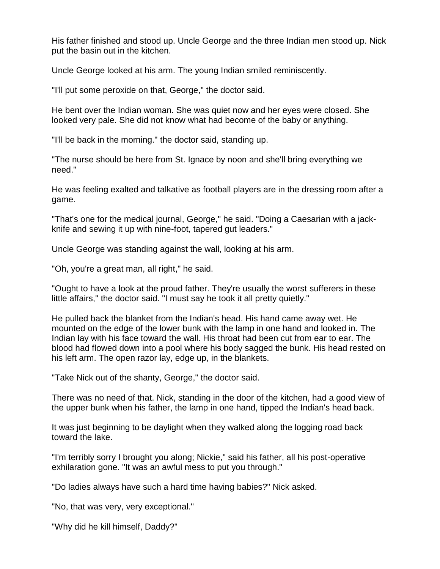His father finished and stood up. Uncle George and the three Indian men stood up. Nick put the basin out in the kitchen.

Uncle George looked at his arm. The young Indian smiled reminiscently.

"I'll put some peroxide on that, George," the doctor said.

He bent over the Indian woman. She was quiet now and her eyes were closed. She looked very pale. She did not know what had become of the baby or anything.

"I'll be back in the morning." the doctor said, standing up.

"The nurse should be here from St. Ignace by noon and she'll bring everything we need."

He was feeling exalted and talkative as football players are in the dressing room after a game.

"That's one for the medical journal, George," he said. "Doing a Caesarian with a jackknife and sewing it up with nine-foot, tapered gut leaders."

Uncle George was standing against the wall, looking at his arm.

"Oh, you're a great man, all right," he said.

"Ought to have a look at the proud father. They're usually the worst sufferers in these little affairs," the doctor said. "I must say he took it all pretty quietly."

He pulled back the blanket from the Indian's head. His hand came away wet. He mounted on the edge of the lower bunk with the lamp in one hand and looked in. The Indian lay with his face toward the wall. His throat had been cut from ear to ear. The blood had flowed down into a pool where his body sagged the bunk. His head rested on his left arm. The open razor lay, edge up, in the blankets.

"Take Nick out of the shanty, George," the doctor said.

There was no need of that. Nick, standing in the door of the kitchen, had a good view of the upper bunk when his father, the lamp in one hand, tipped the Indian's head back.

It was just beginning to be daylight when they walked along the logging road back toward the lake.

"I'm terribly sorry I brought you along; Nickie," said his father, all his post-operative exhilaration gone. "It was an awful mess to put you through."

"Do ladies always have such a hard time having babies?" Nick asked.

"No, that was very, very exceptional."

"Why did he kill himself, Daddy?"